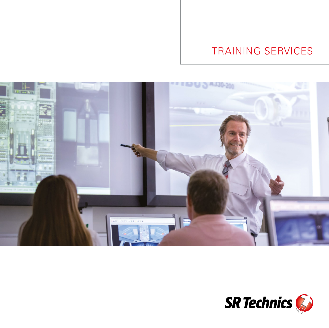# TRAINING SERVICES



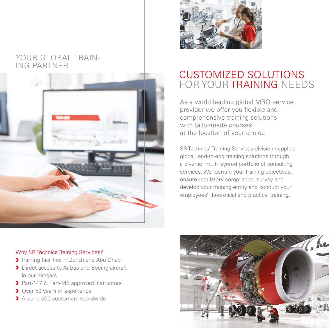### YOUR GLOBAL TRAIN-ING PARTNER





## CUSTOMIZED SOLUTIONS FOR YOUR TRAINING NEEDS

As a world leading global MRO service provider we offer you flexible and comprehensive training solutions with tailor-made courses at the location of your choice.

SR Technics' Training Services division supplies global, end-to-end training solutions through a diverse, multi-layered portfolio of consulting services. We identify your training objectives, ensure regulatory compliance, survey and develop your training entity and conduct your employees' theoretical and practical training.

### Why SR Technics Training Services?

- **>** Training facilities in Zurich and Abu Dhabi
- **>** Direct access to Airbus and Boeing aircraft in our hangars
- ▶ Part-147 & Part-145 approved instructors
- **I** Over 50 years of experience
- › Around 500 customers worldwide

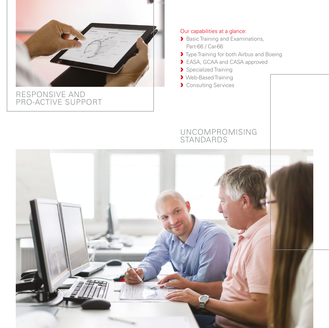

### RESPONSIVE AND PRO-ACTIVE SUPPORT

### Our capabilities at a glance:

- **Basic Training and Examinations,** Part-66 / Car-66
- **>** Type Training for both Airbus and Boeing
- > EASA, GCAA and CASA approved
- **>** Specialized Training
- › Web-Based Training
- **>** Consulting Services

### UNCOMPROMISING **STANDARDS**